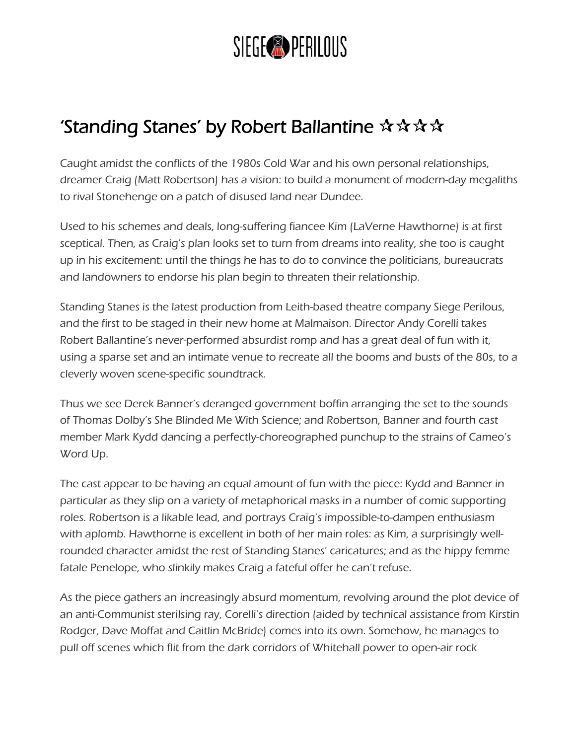## SIEGE<sup>®</sup> PERILOUS

## 'Standing Stanes' by Robert Ballantine  $\mathbf{\hat{x}} \mathbf{\hat{x}} \mathbf{\hat{x}}$

Caught amidst the conflicts of the 1980s Cold War and his own personal relationships, dreamer Craig (Matt Robertson) has a vision: to build a monument of modern-day megaliths to rival Stonehenge on a patch of disused land near Dundee.

Used to his schemes and deals, long-suffering fiancee Kim (LaVerne Hawthorne) is at first sceptical. Then, as Craig's plan looks set to turn from dreams into reality, she too is caught up in his excitement: until the things he has to do to convince the politicians, bureaucrats and landowners to endorse his plan begin to threaten their relationship.

Standing Stanes is the latest production from Leith-based theatre company [Siege Perilous](http://www.siegeperilous.co.uk/home-2/), and the first to be staged in their new home at Malmaison. Director Andy Corelli takes Robert Ballantine's never-performed absurdist romp and has a great deal of fun with it, using a sparse set and an intimate venue to recreate all the booms and busts of the 80s, to a cleverly woven scene-specific soundtrack.

Thus we see Derek Banner's deranged government boffin arranging the set to the sounds of Thomas Dolby's She Blinded Me With Science; and Robertson, Banner and fourth cast member Mark Kydd dancing a perfectly-choreographed punchup to the strains of Cameo's Word Up.

The cast appear to be having an equal amount of fun with the piece: Kydd and Banner in particular as they slip on a variety of metaphorical masks in a number of comic supporting roles. Robertson is a likable lead, and portrays Craig's impossible-to-dampen enthusiasm with aplomb. Hawthorne is excellent in both of her main roles: as Kim, a surprisingly wellrounded character amidst the rest of Standing Stanes' caricatures; and as the hippy femme fatale Penelope, who slinkily makes Craig a fateful offer he can't refuse.

As the piece gathers an increasingly absurd momentum, revolving around the plot device of an anti-Communist sterilsing ray, Corelli's direction (aided by technical assistance from Kirstin Rodger, Dave Moffat and Caitlin McBride) comes into its own. Somehow, he manages to pull off scenes which flit from the dark corridors of Whitehall power to open-air rock